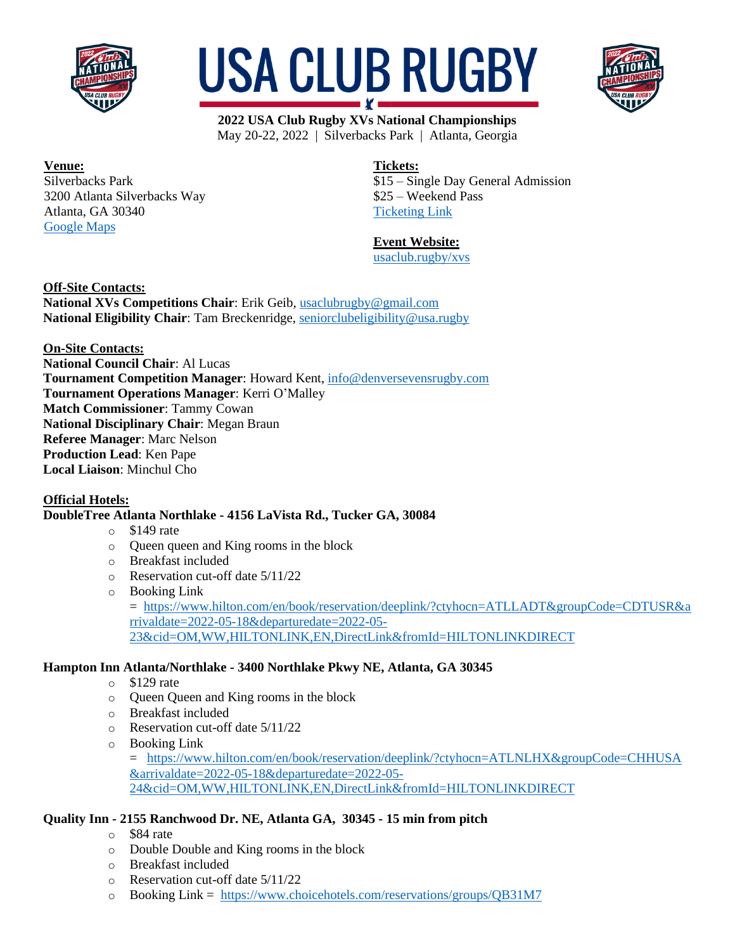





**Venue:** Silverbacks Park 3200 Atlanta Silverbacks Way Atlanta, GA 30340 [Google Maps](https://www.google.com/maps/place/Silverbacks+Park/@33.8919906,-84.254837,15z/data=!4m2!3m1!1s0x0:0x3fa1b0ad68efb8b6?sa=X&ved=2ahUKEwjyupHXwan3AhUJVs0KHQ-yDgsQ_BJ6BAhXEAU)

**Tickets:**

\$15 – Single Day General Admission \$25 – Weekend Pass [Ticketing Link](https://www.universe.com/events/2022-usa-club-rugby-xvs-national-championships-tickets-BQ1KJN?buttonColor=#ad172b&buttonText=Buy%20Tickets!)

# **Event Website:**

[usaclub.rugby/xvs](https://www.usaclub.rugby/xvs.html)

**Off-Site Contacts:**

**National XVs Competitions Chair**: Erik Geib[, usaclubrugby@gmail.com](mailto:usaclubrugby@gmail.com) **National Eligibility Chair**: Tam Breckenridge, [seniorclubeligibility@usa.rugby](mailto:seniorclubeligibility@usa.rugby)

**On-Site Contacts:**

**National Council Chair**: Al Lucas **Tournament Competition Manager**: Howard Kent, [info@denversevensrugby.com](mailto:info@denversevensrugby.com) **Tournament Operations Manager**: Kerri O'Malley **Match Commissioner**: Tammy Cowan **National Disciplinary Chair**: Megan Braun **Referee Manager**: Marc Nelson **Production Lead**: Ken Pape **Local Liaison**: Minchul Cho

## **Official Hotels:**

# **DoubleTree Atlanta Northlake - 4156 LaVista Rd., Tucker GA, 30084**

- $\circ$  \$149 rate
- o Queen queen and King rooms in the block
- o Breakfast included
- o Reservation cut-off date 5/11/22
- o Booking Link

= [https://www.hilton.com/en/book/reservation/deeplink/?ctyhocn=ATLLADT&groupCode=CDTUSR&a](https://urldefense.com/v3/__https:/www.hilton.com/en/book/reservation/deeplink/?ctyhocn=ATLLADT&groupCode=CDTUSR&arrivaldate=2022-05-18&departuredate=2022-05-23&cid=OM,WW,HILTONLINK,EN,DirectLink&fromId=HILTONLINKDIRECT__;!!FOfmI8qiWcWBHqypJtzENF0!yPfdR6j5OnSEC-A_veDYLsliayjlVoOW2LrKDZi7VwVp0E-wyaw9u1-e0kypHU6zgm18cDkhYra4pUVJPk-BRKFVO-KSnYlcJw$) [rrivaldate=2022-05-18&departuredate=2022-05-](https://urldefense.com/v3/__https:/www.hilton.com/en/book/reservation/deeplink/?ctyhocn=ATLLADT&groupCode=CDTUSR&arrivaldate=2022-05-18&departuredate=2022-05-23&cid=OM,WW,HILTONLINK,EN,DirectLink&fromId=HILTONLINKDIRECT__;!!FOfmI8qiWcWBHqypJtzENF0!yPfdR6j5OnSEC-A_veDYLsliayjlVoOW2LrKDZi7VwVp0E-wyaw9u1-e0kypHU6zgm18cDkhYra4pUVJPk-BRKFVO-KSnYlcJw$) [23&cid=OM,WW,HILTONLINK,EN,DirectLink&fromId=HILTONLINKDIRECT](https://urldefense.com/v3/__https:/www.hilton.com/en/book/reservation/deeplink/?ctyhocn=ATLLADT&groupCode=CDTUSR&arrivaldate=2022-05-18&departuredate=2022-05-23&cid=OM,WW,HILTONLINK,EN,DirectLink&fromId=HILTONLINKDIRECT__;!!FOfmI8qiWcWBHqypJtzENF0!yPfdR6j5OnSEC-A_veDYLsliayjlVoOW2LrKDZi7VwVp0E-wyaw9u1-e0kypHU6zgm18cDkhYra4pUVJPk-BRKFVO-KSnYlcJw$)

## **Hampton Inn Atlanta/Northlake - 3400 Northlake Pkwy NE, Atlanta, GA 30345**

- o \$129 rate
- o Queen Queen and King rooms in the block
- o Breakfast included
- o Reservation cut-off date 5/11/22
- o Booking Link

= [https://www.hilton.com/en/book/reservation/deeplink/?ctyhocn=ATLNLHX&groupCode=CHHUSA](https://urldefense.com/v3/__https:/www.hilton.com/en/book/reservation/deeplink/?ctyhocn=ATLNLHX&groupCode=CHHUSA&arrivaldate=2022-05-18&departuredate=2022-05-24&cid=OM,WW,HILTONLINK,EN,DirectLink&fromId=HILTONLINKDIRECT__;!!FOfmI8qiWcWBHqypJtzENF0!2oOKG38W2gAZpZNWilioi45eA1yy6Mu7VQOY-IjCIeZpsBajp0E0qpUSsiCUg6FP00c1yCUhAs4BLkznsZ_WzZEz_ujUOsu7$) [&arrivaldate=2022-05-18&departuredate=2022-05-](https://urldefense.com/v3/__https:/www.hilton.com/en/book/reservation/deeplink/?ctyhocn=ATLNLHX&groupCode=CHHUSA&arrivaldate=2022-05-18&departuredate=2022-05-24&cid=OM,WW,HILTONLINK,EN,DirectLink&fromId=HILTONLINKDIRECT__;!!FOfmI8qiWcWBHqypJtzENF0!2oOKG38W2gAZpZNWilioi45eA1yy6Mu7VQOY-IjCIeZpsBajp0E0qpUSsiCUg6FP00c1yCUhAs4BLkznsZ_WzZEz_ujUOsu7$) [24&cid=OM,WW,HILTONLINK,EN,DirectLink&fromId=HILTONLINKDIRECT](https://urldefense.com/v3/__https:/www.hilton.com/en/book/reservation/deeplink/?ctyhocn=ATLNLHX&groupCode=CHHUSA&arrivaldate=2022-05-18&departuredate=2022-05-24&cid=OM,WW,HILTONLINK,EN,DirectLink&fromId=HILTONLINKDIRECT__;!!FOfmI8qiWcWBHqypJtzENF0!2oOKG38W2gAZpZNWilioi45eA1yy6Mu7VQOY-IjCIeZpsBajp0E0qpUSsiCUg6FP00c1yCUhAs4BLkznsZ_WzZEz_ujUOsu7$)

# **Quality Inn - 2155 Ranchwood Dr. NE, Atlanta GA, 30345 - 15 min from pitch**

- o \$84 rate
- o Double Double and King rooms in the block
- o Breakfast included
- o Reservation cut-off date 5/11/22
- o Booking Link = [https://www.choicehotels.com/reservations/groups/QB31M7](https://urldefense.com/v3/__https:/www.choicehotels.com/reservations/groups/QB31M7__;!!FOfmI8qiWcWBHqypJtzENF0!y1Sc_bCFB2cn4y-mNY-bIOFbPpYXo1c4giuy4Aec3gSb-t9Disldb9Icxu4mhrhq5KGlIMxWFXDmggA399gpWhYal_I$)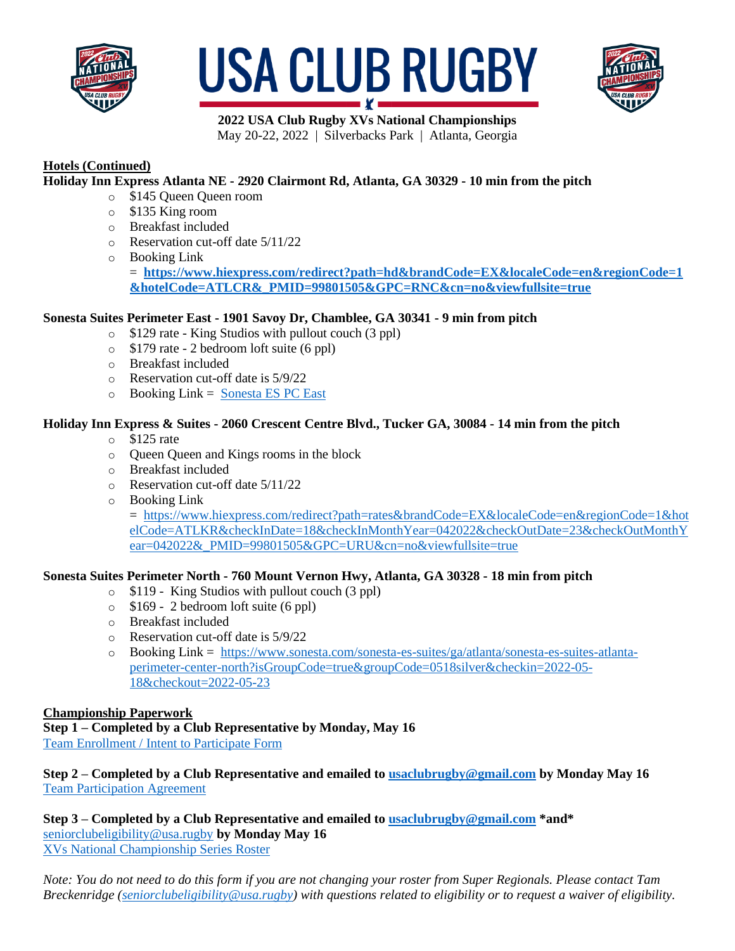





# **Hotels (Continued)**

# **Holiday Inn Express Atlanta NE - 2920 Clairmont Rd, Atlanta, GA 30329 - 10 min from the pitch**

- o \$145 Queen Queen room
- o \$135 King room
- o Breakfast included
- o Reservation cut-off date 5/11/22
- o Booking Link

 $=$  [https://www.hiexpress.com/redirect?path=hd&brandCode=EX&localeCode=en&regionCode=1](https://urldefense.com/v3/__https:/www.hiexpress.com/redirect?path=hd&brandCode=EX&localeCode=en®ionCode=1&hotelCode=ATLCR&_PMID=99801505&GPC=RNC&cn=no&viewfullsite=true__;!!FOfmI8qiWcWBHqypJtzENF0!zK_RM7rcw56KA7EmddLujvvZ8JD_KHubLOWbfXffoOa237Smj9hlYYCDFFIPhppEb-ODxuKiJBWZZIcxfVzzqQymg2A$) **[&hotelCode=ATLCR&\\_PMID=99801505&GPC=RNC&cn=no&viewfullsite=true](https://urldefense.com/v3/__https:/www.hiexpress.com/redirect?path=hd&brandCode=EX&localeCode=en®ionCode=1&hotelCode=ATLCR&_PMID=99801505&GPC=RNC&cn=no&viewfullsite=true__;!!FOfmI8qiWcWBHqypJtzENF0!zK_RM7rcw56KA7EmddLujvvZ8JD_KHubLOWbfXffoOa237Smj9hlYYCDFFIPhppEb-ODxuKiJBWZZIcxfVzzqQymg2A$)**

# **Sonesta Suites Perimeter East - 1901 Savoy Dr, Chamblee, GA 30341 - 9 min from pitch**

- o \$129 rate King Studios with pullout couch (3 ppl)
- o \$179 rate 2 bedroom loft suite (6 ppl)
- o Breakfast included
- o Reservation cut-off date is 5/9/22
- $\circ$  Booking Link = [Sonesta ES PC East](https://urldefense.com/v3/__https:/www.sonesta.com/sonesta-es-suites/ga/chamblee/sonesta-es-suites-atlanta-perimeter-center-east?isGroupCode=true&groupCode=RUGBY&checkin=2022-05-18&checkout=2022-05-23__;!!FOfmI8qiWcWBHqypJtzENF0!2eO6hKIFQyIFt3GnVzgfZVh8KDNMJUbiE1JEjvt_bKVFq-Oo8okGieQVDdrzMMp2gV8LoHN6IPYAyVIIsWtmYZY92CXq-R-TPw$)

## **Holiday Inn Express & Suites - 2060 Crescent Centre Blvd., Tucker GA, 30084 - 14 min from the pitch**

- o \$125 rate
- o Queen Queen and Kings rooms in the block
- o Breakfast included
- o Reservation cut-off date 5/11/22
- o Booking Link

= [https://www.hiexpress.com/redirect?path=rates&brandCode=EX&localeCode=en&regionCode=1&hot](https://urldefense.com/v3/__https:/www.hiexpress.com/redirect?path=rates&brandCode=EX&localeCode=en®ionCode=1&hotelCode=ATLKR&checkInDate=18&checkInMonthYear=042022&checkOutDate=23&checkOutMonthYear=042022&_PMID=99801505&GPC=URU&cn=no&viewfullsite=true__;!!FOfmI8qiWcWBHqypJtzENF0!xfBYqzs7sXQ-c2BUgedKIVS_tq--yrgfBCuZGmwdm_yyYim-BeoFX4uZ9rTCDotQil8L6sy0AeGBloDYeTpvDtARZULgDUM$) [elCode=ATLKR&checkInDate=18&checkInMonthYear=042022&checkOutDate=23&checkOutMonthY](https://urldefense.com/v3/__https:/www.hiexpress.com/redirect?path=rates&brandCode=EX&localeCode=en®ionCode=1&hotelCode=ATLKR&checkInDate=18&checkInMonthYear=042022&checkOutDate=23&checkOutMonthYear=042022&_PMID=99801505&GPC=URU&cn=no&viewfullsite=true__;!!FOfmI8qiWcWBHqypJtzENF0!xfBYqzs7sXQ-c2BUgedKIVS_tq--yrgfBCuZGmwdm_yyYim-BeoFX4uZ9rTCDotQil8L6sy0AeGBloDYeTpvDtARZULgDUM$) [ear=042022&\\_PMID=99801505&GPC=URU&cn=no&viewfullsite=true](https://urldefense.com/v3/__https:/www.hiexpress.com/redirect?path=rates&brandCode=EX&localeCode=en®ionCode=1&hotelCode=ATLKR&checkInDate=18&checkInMonthYear=042022&checkOutDate=23&checkOutMonthYear=042022&_PMID=99801505&GPC=URU&cn=no&viewfullsite=true__;!!FOfmI8qiWcWBHqypJtzENF0!xfBYqzs7sXQ-c2BUgedKIVS_tq--yrgfBCuZGmwdm_yyYim-BeoFX4uZ9rTCDotQil8L6sy0AeGBloDYeTpvDtARZULgDUM$)

## **Sonesta Suites Perimeter North - 760 Mount Vernon Hwy, Atlanta, GA 30328 - 18 min from pitch**

- o \$119 King Studios with pullout couch (3 ppl)
- o \$169 2 bedroom loft suite (6 ppl)
- o Breakfast included
- o Reservation cut-off date is 5/9/22
- o Booking Link = [https://www.sonesta.com/sonesta-es-suites/ga/atlanta/sonesta-es-suites-atlanta](https://urldefense.com/v3/__https:/www.sonesta.com/sonesta-es-suites/ga/atlanta/sonesta-es-suites-atlanta-perimeter-center-north?isGroupCode=true&groupCode=0518silver&checkin=2022-05-18&checkout=2022-05-23__;!!FOfmI8qiWcWBHqypJtzENF0!2-IQncfZ6BNo83d92kXO4qUiO0ARGi3hMgCCn153MQbAfU_I8q-18V6xIZQJAEBNGm9gFog6uExsVlOLvyqWj5Pjz2vMF-0zqg$)[perimeter-center-north?isGroupCode=true&groupCode=0518silver&checkin=2022-05-](https://urldefense.com/v3/__https:/www.sonesta.com/sonesta-es-suites/ga/atlanta/sonesta-es-suites-atlanta-perimeter-center-north?isGroupCode=true&groupCode=0518silver&checkin=2022-05-18&checkout=2022-05-23__;!!FOfmI8qiWcWBHqypJtzENF0!2-IQncfZ6BNo83d92kXO4qUiO0ARGi3hMgCCn153MQbAfU_I8q-18V6xIZQJAEBNGm9gFog6uExsVlOLvyqWj5Pjz2vMF-0zqg$) [18&checkout=2022-05-23](https://urldefense.com/v3/__https:/www.sonesta.com/sonesta-es-suites/ga/atlanta/sonesta-es-suites-atlanta-perimeter-center-north?isGroupCode=true&groupCode=0518silver&checkin=2022-05-18&checkout=2022-05-23__;!!FOfmI8qiWcWBHqypJtzENF0!2-IQncfZ6BNo83d92kXO4qUiO0ARGi3hMgCCn153MQbAfU_I8q-18V6xIZQJAEBNGm9gFog6uExsVlOLvyqWj5Pjz2vMF-0zqg$)

## **Championship Paperwork**

**Step 1 – Completed by a Club Representative by Monday, May 16** [Team Enrollment / Intent to Participate Form](https://forms.gle/uUHNqdPkWZ7nwHiMA)

## **Step 2 – Completed by a Club Representative and emailed t[o usaclubrugby@gmail.com](mailto:usaclubrugby@gmail.com) by Monday May 16** [Team Participation Agreement](https://www.usaclub.rugby/uploads/3/1/0/2/3102973/2022_usa_club_rugby_xvs_national_championship_team_participation_agreement.pdf)

**Step 3 – Completed by a Club Representative and emailed t[o usaclubrugby@gmail.com](mailto:usaclubrugby@gmail.com) \*and\*** [seniorclubeligibility@usa.rugby](mailto:seniorclubeligibility@usa.rugby) **by Monday May 16** [XVs National Championship Series Roster](https://www.usaclub.rugby/uploads/3/1/0/2/3102973/usa_club_rugby_xvs_national_championship_series_roster.pdf)

*Note: You do not need to do this form if you are not changing your roster from Super Regionals. Please contact Tam Breckenridge [\(seniorclubeligibility@usa.rugby\)](mailto:seniorclubeligibility@usa.rugby) with questions related to eligibility or to request a waiver of eligibility.*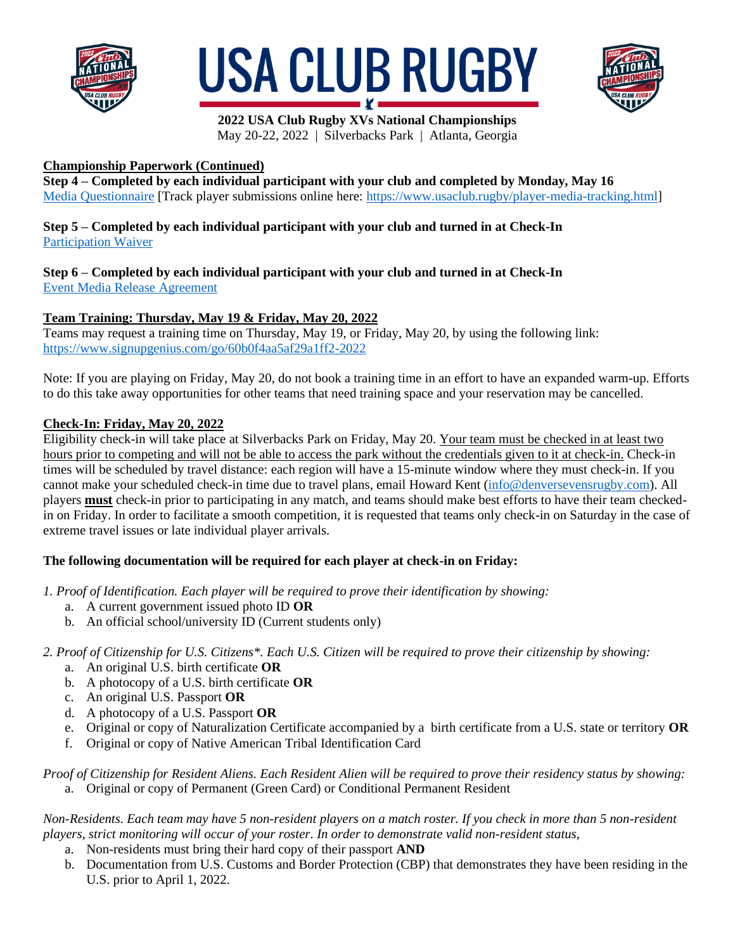





# **Championship Paperwork (Continued)**

**Step 4 – Completed by each individual participant with your club and completed by Monday, May 16** [Media Questionnaire](https://forms.gle/Sd4CLh3u5wn9JUTQ6) [Track player submissions online here: [https://www.usaclub.rugby/player-media-tracking.html\]](https://www.usaclub.rugby/player-media-tracking.html)

# **Step 5 – Completed by each individual participant with your club and turned in at Check-In** [Participation Waiver](https://www.usaclub.rugby/uploads/3/1/0/2/3102973/usar-participation-waiver_esignature.pdf)

**Step 6 – Completed by each individual participant with your club and turned in at Check-In** [Event Media Release Agreement](https://www.usaclub.rugby/uploads/3/1/0/2/3102973/2022_usa_club_rugby_xvs_national_championship_-_event_media_release_agreement.pdf)

# **Team Training: Thursday, May 19 & Friday, May 20, 2022**

Teams may request a training time on Thursday, May 19, or Friday, May 20, by using the following link: <https://www.signupgenius.com/go/60b0f4aa5af29a1ff2-2022>

Note: If you are playing on Friday, May 20, do not book a training time in an effort to have an expanded warm-up. Efforts to do this take away opportunities for other teams that need training space and your reservation may be cancelled.

## **Check-In: Friday, May 20, 2022**

Eligibility check-in will take place at Silverbacks Park on Friday, May 20. Your team must be checked in at least two hours prior to competing and will not be able to access the park without the credentials given to it at check-in. Check-in times will be scheduled by travel distance: each region will have a 15-minute window where they must check-in. If you cannot make your scheduled check-in time due to travel plans, email Howard Kent [\(info@denversevensrugby.com\)](mailto:info@denversevensrugby.com). All players **must** check-in prior to participating in any match, and teams should make best efforts to have their team checkedin on Friday. In order to facilitate a smooth competition, it is requested that teams only check-in on Saturday in the case of extreme travel issues or late individual player arrivals.

# **The following documentation will be required for each player at check-in on Friday:**

*1. Proof of Identification. Each player will be required to prove their identification by showing:*

- a. A current government issued photo ID **OR**
- b. An official school/university ID (Current students only)

## *2. Proof of Citizenship for U.S. Citizens\*. Each U.S. Citizen will be required to prove their citizenship by showing:*

- a. An original U.S. birth certificate **OR**
- b. A photocopy of a U.S. birth certificate **OR**
- c. An original U.S. Passport **OR**
- d. A photocopy of a U.S. Passport **OR**
- e. Original or copy of Naturalization Certificate accompanied by a birth certificate from a U.S. state or territory **OR**
- f. Original or copy of Native American Tribal Identification Card

#### *Proof of Citizenship for Resident Aliens. Each Resident Alien will be required to prove their residency status by showing:* a. Original or copy of Permanent (Green Card) or Conditional Permanent Resident

*Non-Residents. Each team may have 5 non-resident players on a match roster. If you check in more than 5 non-resident players, strict monitoring will occur of your roster. In order to demonstrate valid non-resident status,* 

- a. Non-residents must bring their hard copy of their passport **AND**
- b. Documentation from U.S. Customs and Border Protection (CBP) that demonstrates they have been residing in the U.S. prior to April 1, 2022.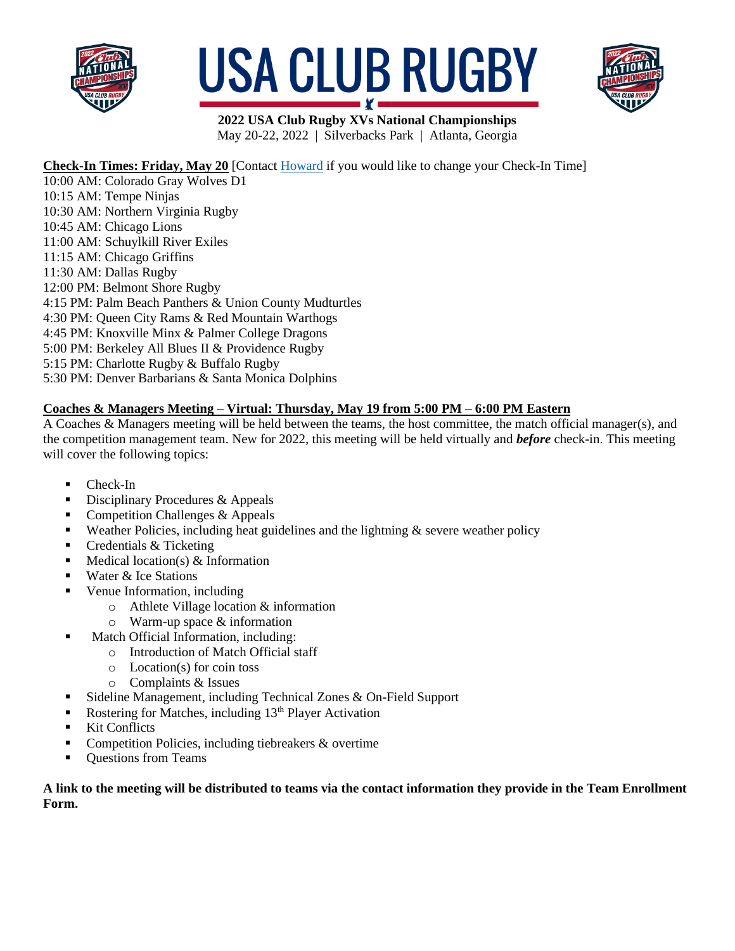





# **Check-In Times: Friday, May 20** [Contact [Howard](mailto:info@denversevensrugby.com) if you would like to change your Check-In Time]

10:00 AM: Colorado Gray Wolves D1 10:15 AM: Tempe Ninjas 10:30 AM: Northern Virginia Rugby 10:45 AM: Chicago Lions 11:00 AM: Schuylkill River Exiles 11:15 AM: Chicago Griffins 11:30 AM: Dallas Rugby 12:00 PM: Belmont Shore Rugby 4:15 PM: Palm Beach Panthers & Union County Mudturtles 4:30 PM: Queen City Rams & Red Mountain Warthogs 4:45 PM: Knoxville Minx & Palmer College Dragons 5:00 PM: Berkeley All Blues II & Providence Rugby 5:15 PM: Charlotte Rugby & Buffalo Rugby 5:30 PM: Denver Barbarians & Santa Monica Dolphins

# **Coaches & Managers Meeting – Virtual: Thursday, May 19 from 5:00 PM – 6:00 PM Eastern**

A Coaches & Managers meeting will be held between the teams, the host committee, the match official manager(s), and the competition management team. New for 2022, this meeting will be held virtually and *before* check-in. This meeting will cover the following topics:

- $\blacksquare$  Check-In
- Disciplinary Procedures & Appeals
- $\blacksquare$  Competition Challenges & Appeals
- $\bullet$  Weather Policies, including heat guidelines and the lightning  $\&$  severe weather policy
- Credentials & Ticketing
- $\blacksquare$  Medical location(s) & Information
- Water & Ice Stations
- Venue Information, including
	- o Athlete Village location & information
	- o Warm-up space & information
- Match Official Information, including:
	- o Introduction of Match Official staff
	- o Location(s) for coin toss
	- o Complaints & Issues
- Sideline Management, including Technical Zones & On-Field Support
- Exercise Rostering for Matches, including  $13<sup>th</sup>$  Player Activation
- **Kit Conflicts**
- Competition Policies, including tiebreakers & overtime
- Questions from Teams

#### **A link to the meeting will be distributed to teams via the contact information they provide in the Team Enrollment Form.**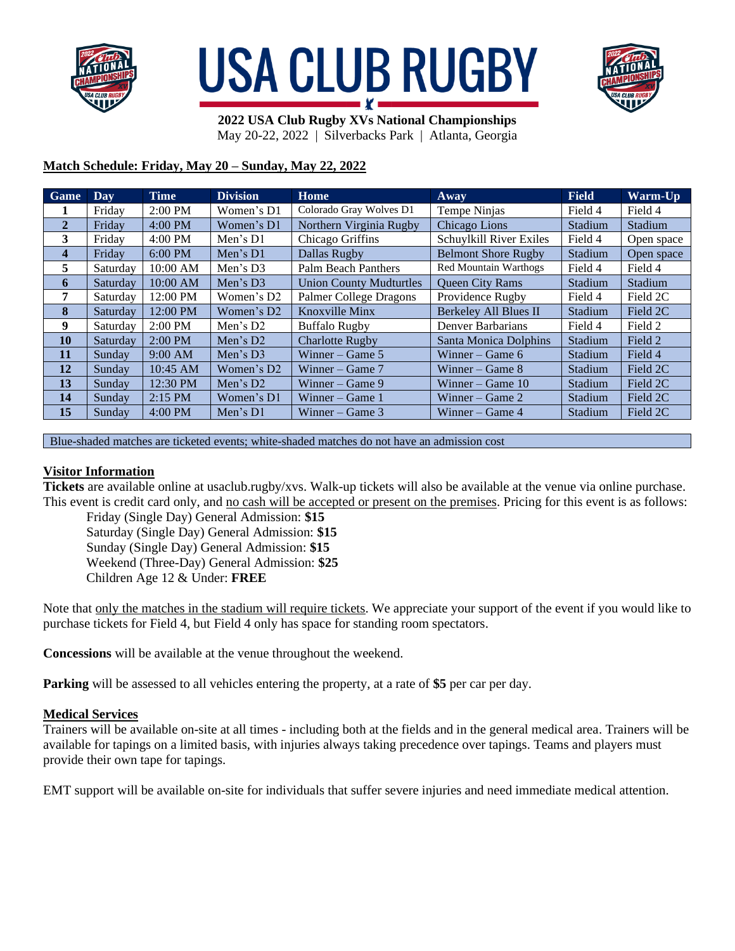





# **Match Schedule: Friday, May 20 – Sunday, May 22, 2022**

| Game           | Day      | <b>Time</b>       | <b>Division</b>        | Home                           | Away                       | <b>Field</b> | <b>Warm-Up</b> |
|----------------|----------|-------------------|------------------------|--------------------------------|----------------------------|--------------|----------------|
|                | Friday   | $2:00 \text{ PM}$ | Women's D1             | Colorado Gray Wolves D1        | Tempe Ninjas               | Field 4      | Field 4        |
| $\overline{2}$ | Friday   | 4:00 PM           | Women's D1             | Northern Virginia Rugby        | Chicago Lions              | Stadium      | Stadium        |
| 3              | Friday   | 4:00 PM           | Men's D1               | Chicago Griffins               | Schuylkill River Exiles    | Field 4      | Open space     |
| 4              | Friday   | $6:00$ PM         | Men's $D1$             | Dallas Rugby                   | <b>Belmont Shore Rugby</b> | Stadium      | Open space     |
| 5              | Saturday | 10:00 AM          | Men's $D3$             | Palm Beach Panthers            | Red Mountain Warthogs      | Field 4      | Field 4        |
| 6              | Saturday | 10:00 AM          | Men's $D3$             | <b>Union County Mudturtles</b> | <b>Queen City Rams</b>     | Stadium      | Stadium        |
| 7              | Saturday | 12:00 PM          | Women's D <sub>2</sub> | Palmer College Dragons         | Providence Rugby           | Field 4      | Field 2C       |
| 8              | Saturday | 12:00 PM          | Women's D <sub>2</sub> | Knoxville Minx                 | Berkeley All Blues II      | Stadium      | Field 2C       |
| 9              | Saturday | $2:00$ PM         | Men's $D2$             | <b>Buffalo Rugby</b>           | Denver Barbarians          | Field 4      | Field 2        |
| 10             | Saturday | $2:00$ PM         | Men's $D2$             | <b>Charlotte Rugby</b>         | Santa Monica Dolphins      | Stadium      | Field 2        |
| 11             | Sunday   | $9:00$ AM         | Men's D3               | Winner – Game $5$              | Winner – Game $6$          | Stadium      | Field 4        |
| 12             | Sunday   | 10:45 AM          | Women's D <sub>2</sub> | Winner – Game $7$              | Winner – Game $8$          | Stadium      | Field 2C       |
| 13             | Sunday   | 12:30 PM          | Men's $D2$             | Winner – Game $9$              | Winner – Game $10$         | Stadium      | Field 2C       |
| 14             | Sunday   | $2:15$ PM         | Women's D1             | Winner – Game $1$              | Winner – Game $2$          | Stadium      | Field 2C       |
| 15             | Sunday   | $4:00$ PM         | Men's $D1$             | Winner – Game $3$              | Winner – Game $4$          | Stadium      | Field 2C       |

Blue-shaded matches are ticketed events; white-shaded matches do not have an admission cost

#### **Visitor Information**

**Tickets** are available online at usaclub.rugby/xvs. Walk-up tickets will also be available at the venue via online purchase. This event is credit card only, and no cash will be accepted or present on the premises. Pricing for this event is as follows:

Friday (Single Day) General Admission: **\$15** Saturday (Single Day) General Admission: **\$15** Sunday (Single Day) General Admission: **\$15** Weekend (Three-Day) General Admission: **\$25** Children Age 12 & Under: **FREE**

Note that only the matches in the stadium will require tickets. We appreciate your support of the event if you would like to purchase tickets for Field 4, but Field 4 only has space for standing room spectators.

**Concessions** will be available at the venue throughout the weekend.

**Parking** will be assessed to all vehicles entering the property, at a rate of **\$5** per car per day.

#### **Medical Services**

Trainers will be available on-site at all times - including both at the fields and in the general medical area. Trainers will be available for tapings on a limited basis, with injuries always taking precedence over tapings. Teams and players must provide their own tape for tapings.

EMT support will be available on-site for individuals that suffer severe injuries and need immediate medical attention.